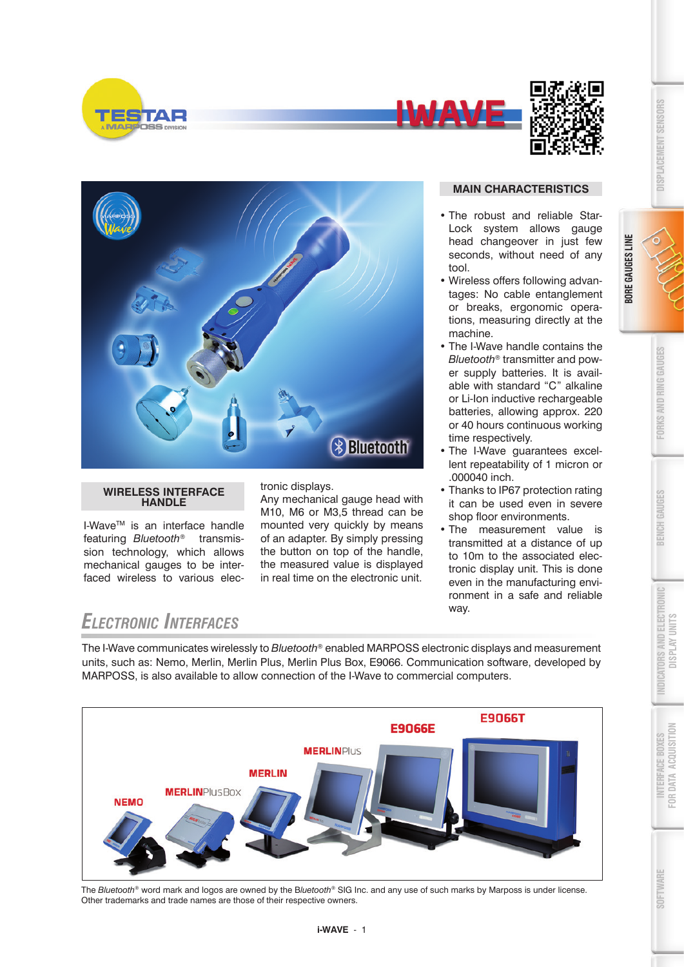

**BORE GAUGES LINE**









#### **WIRELESS INTERFACE HANDLE**

I-WaveTM is an interface handle featuring *Bluetooth®* transmission technology, which allows mechanical gauges to be interfaced wireless to various electronic displays.

Any mechanical gauge head with M10, M6 or M3,5 thread can be mounted very quickly by means of an adapter. By simply pressing the button on top of the handle, the measured value is displayed in real time on the electronic unit.

#### **MAIN CHARACTERISTICS**

- The robust and reliable Star-Lock system allows gauge head changeover in just few seconds, without need of any tool.
- Wireless offers following advantages: No cable entanglement or breaks, ergonomic operations, measuring directly at the machine.
- The I-Wave handle contains the *Bluetooth®* transmitter and power supply batteries. It is available with standard "C" alkaline or Li-Ion inductive rechargeable batteries, allowing approx. 220 or 40 hours continuous working time respectively.
- The I-Wave guarantees excellent repeatability of 1 micron or .000040 inch.
- Thanks to IP67 protection rating it can be used even in severe shop floor environments.
- The measurement value is transmitted at a distance of up to 10m to the associated electronic display unit. This is done even in the manufacturing environment in a safe and reliable way.

## *Electronic Interfaces*

The I-Wave communicates wirelessly to *Bluetooth®* enabled MARPOSS electronic displays and measurement units, such as: Nemo, Merlin, Merlin Plus, Merlin Plus Box, E9066. Communication software, developed by MARPOSS, is also available to allow connection of the I-Wave to commercial computers.



The *Bluetooth®* word mark and logos are owned by the B*luetooth®* SIG Inc. and any use of such marks by Marposs is under license. Other trademarks and trade names are those of their respective owners.